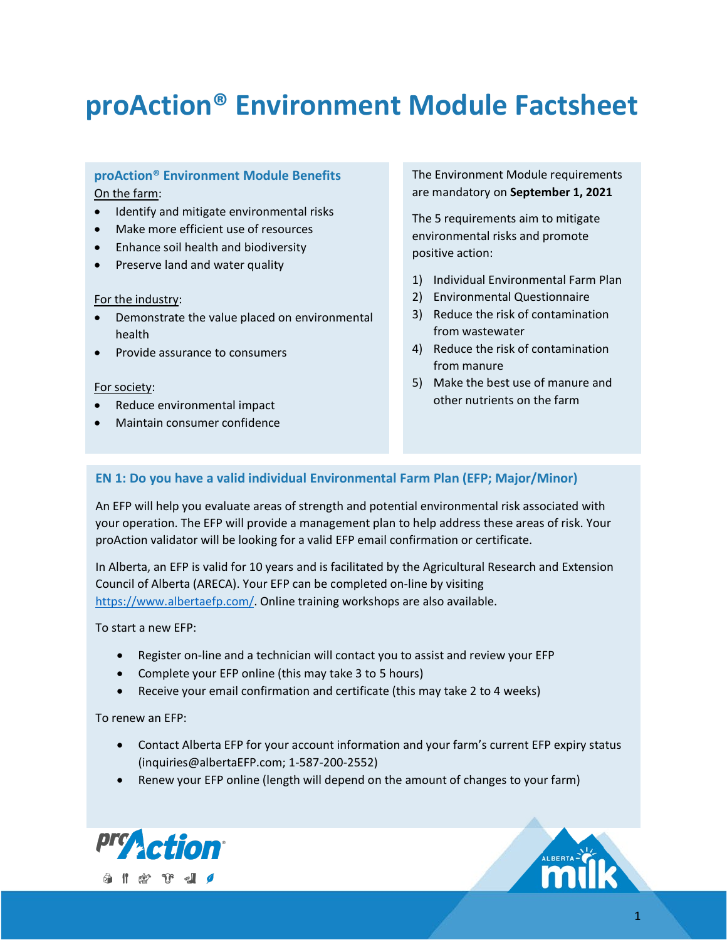# **proAction® Environment Module Factsheet**

#### **proAction® Environment Module Benefits** On the farm:

- Identify and mitigate environmental risks
- Make more efficient use of resources
- Enhance soil health and biodiversity
- Preserve land and water quality

#### For the industry:

- Demonstrate the value placed on environmental health
- Provide assurance to consumers

#### For society:

- Reduce environmental impact
- Maintain consumer confidence

The Environment Module requirements are mandatory on **September 1, 2021**

The 5 requirements aim to mitigate environmental risks and promote positive action:

- 1) Individual Environmental Farm Plan
- 2) Environmental Questionnaire
- 3) Reduce the risk of contamination from wastewater
- 4) Reduce the risk of contamination from manure
- 5) Make the best use of manure and other nutrients on the farm

#### **EN 1: Do you have a valid individual Environmental Farm Plan (EFP; Major/Minor)**

An EFP will help you evaluate areas of strength and potential environmental risk associated with your operation. The EFP will provide a management plan to help address these areas of risk. Your proAction validator will be looking for a valid EFP email confirmation or certificate.

In Alberta, an EFP is valid for 10 years and is facilitated by the Agricultural Research and Extension Council of Alberta (ARECA). Your EFP can be completed on-line by visiting [https://www.albertaefp.com/.](https://www.albertaefp.com/) Online training workshops are also available.

#### To start a new EFP:

- Register on-line and a technician will contact you to assist and review your EFP
- Complete your EFP online (this may take 3 to 5 hours)
- Receive your email confirmation and certificate (this may take 2 to 4 weeks)

#### To renew an EFP:

- Contact Alberta EFP for your account information and your farm's current EFP expiry status (inquiries@albertaEFP.com; 1-587-200-2552)
- Renew your EFP online (length will depend on the amount of changes to your farm)



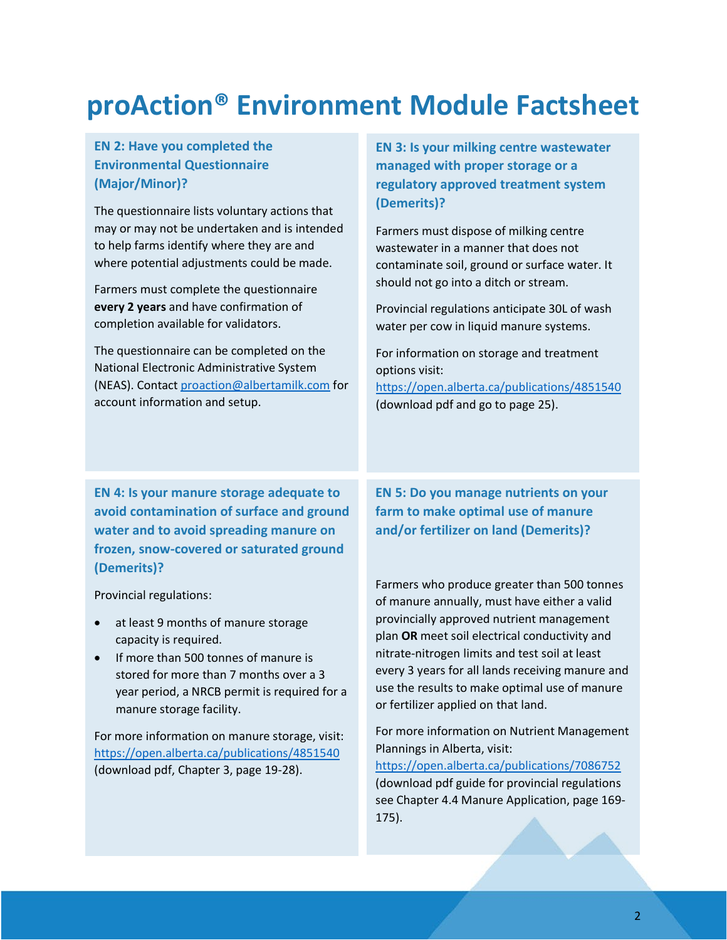# **proAction® Environment Module Factsheet**

#### **EN 2: Have you completed the Environmental Questionnaire (Major/Minor)?**

The questionnaire lists voluntary actions that may or may not be undertaken and is intended to help farms identify where they are and where potential adjustments could be made.

Farmers must complete the questionnaire **every 2 years** and have confirmation of completion available for validators.

The questionnaire can be completed on the National Electronic Administrative System (NEAS). Contact [proaction@albertamilk.com](mailto:proaction@albertamilk.com) for account information and setup.

**EN 3: Is your milking centre wastewater managed with proper storage or a regulatory approved treatment system (Demerits)?**

Farmers must dispose of milking centre wastewater in a manner that does not contaminate soil, ground or surface water. It should not go into a ditch or stream.

Provincial regulations anticipate 30L of wash water per cow in liquid manure systems.

For information on storage and treatment options visit: <https://open.alberta.ca/publications/4851540>

(download pdf and go to page 25).

**EN 4: Is your manure storage adequate to avoid contamination of surface and ground water and to avoid spreading manure on frozen, snow-covered or saturated ground (Demerits)?**

Provincial regulations:

- at least 9 months of manure storage capacity is required.
- If more than 500 tonnes of manure is stored for more than 7 months over a 3 year period, a NRCB permit is required for a manure storage facility.

For more information on manure storage, visit: <https://open.alberta.ca/publications/4851540> (download pdf, Chapter 3, page 19-28).

**EN 5: Do you manage nutrients on your farm to make optimal use of manure and/or fertilizer on land (Demerits)?**

Farmers who produce greater than 500 tonnes of manure annually, must have either a valid provincially approved nutrient management plan **OR** meet soil electrical conductivity and nitrate-nitrogen limits and test soil at least every 3 years for all lands receiving manure and use the results to make optimal use of manure or fertilizer applied on that land.

For more information on Nutrient Management Plannings in Alberta, visit:

<https://open.alberta.ca/publications/7086752> (download pdf guide for provincial regulations see Chapter 4.4 Manure Application, page 169- 175).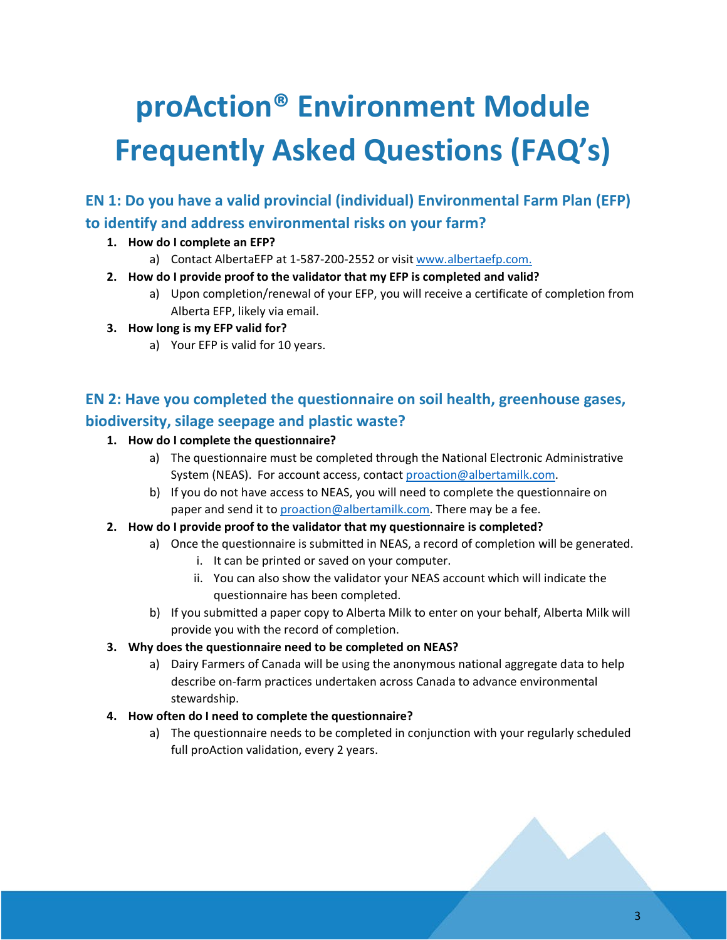# **proAction® Environment Module Frequently Asked Questions (FAQ's)**

**EN 1: Do you have a valid provincial (individual) Environmental Farm Plan (EFP) to identify and address environmental risks on your farm?**

#### **1. How do I complete an EFP?**

- a) Contact AlbertaEFP at 1-587-200-2552 or visi[t www.albertaefp.com.](http://www.albertaefp.com/)
- **2. How do I provide proof to the validator that my EFP is completed and valid?**
	- a) Upon completion/renewal of your EFP, you will receive a certificate of completion from Alberta EFP, likely via email.

#### **3. How long is my EFP valid for?**

a) Your EFP is valid for 10 years.

## **EN 2: Have you completed the questionnaire on soil health, greenhouse gases, biodiversity, silage seepage and plastic waste?**

#### **1. How do I complete the questionnaire?**

- a) The questionnaire must be completed through the National Electronic Administrative System (NEAS). For account access, contact [proaction@albertamilk.com.](mailto:proaction@albertamilk.com)
- b) If you do not have access to NEAS, you will need to complete the questionnaire on paper and send it to [proaction@albertamilk.com.](mailto:proaction@albertamilk.com) There may be a fee.
- **2. How do I provide proof to the validator that my questionnaire is completed?**
	- a) Once the questionnaire is submitted in NEAS, a record of completion will be generated.
		- i. It can be printed or saved on your computer.
		- ii. You can also show the validator your NEAS account which will indicate the questionnaire has been completed.
	- b) If you submitted a paper copy to Alberta Milk to enter on your behalf, Alberta Milk will provide you with the record of completion.

#### **3. Why does the questionnaire need to be completed on NEAS?**

a) Dairy Farmers of Canada will be using the anonymous national aggregate data to help describe on-farm practices undertaken across Canada to advance environmental stewardship.

#### **4. How often do I need to complete the questionnaire?**

a) The questionnaire needs to be completed in conjunction with your regularly scheduled full proAction validation, every 2 years.

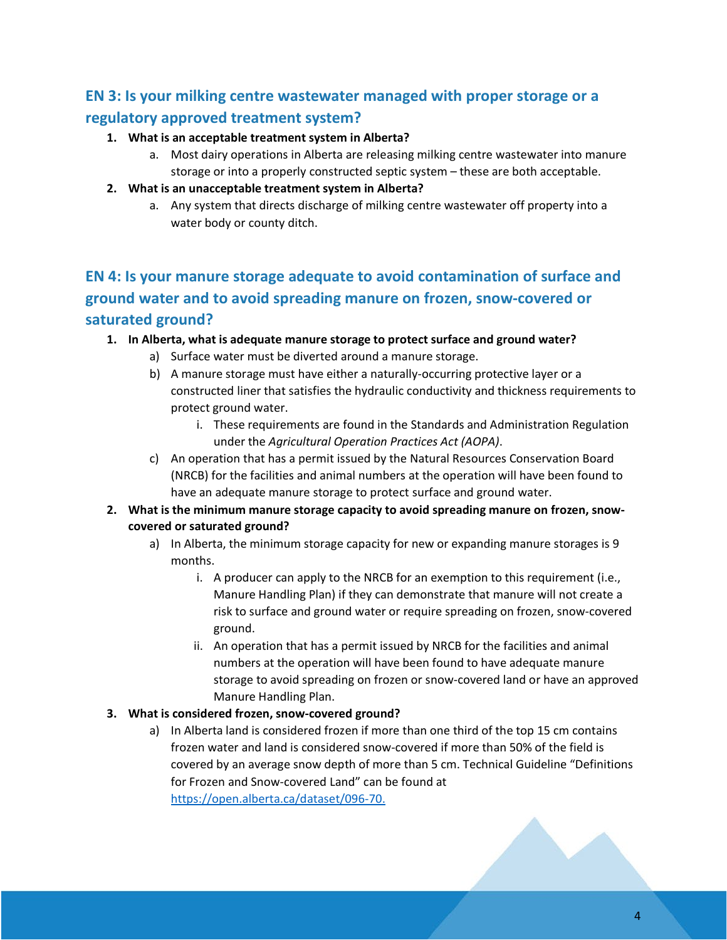## **EN 3: Is your milking centre wastewater managed with proper storage or a regulatory approved treatment system?**

#### **1. What is an acceptable treatment system in Alberta?**

a. Most dairy operations in Alberta are releasing milking centre wastewater into manure storage or into a properly constructed septic system – these are both acceptable.

#### **2. What is an unacceptable treatment system in Alberta?**

a. Any system that directs discharge of milking centre wastewater off property into a water body or county ditch.

# **EN 4: Is your manure storage adequate to avoid contamination of surface and ground water and to avoid spreading manure on frozen, snow-covered or saturated ground?**

#### **1. In Alberta, what is adequate manure storage to protect surface and ground water?**

- a) Surface water must be diverted around a manure storage.
- b) A manure storage must have either a naturally-occurring protective layer or a constructed liner that satisfies the hydraulic conductivity and thickness requirements to protect ground water.
	- i. These requirements are found in the Standards and Administration Regulation under the *Agricultural Operation Practices Act (AOPA)*.
- c) An operation that has a permit issued by the Natural Resources Conservation Board (NRCB) for the facilities and animal numbers at the operation will have been found to have an adequate manure storage to protect surface and ground water.
- **2. What is the minimum manure storage capacity to avoid spreading manure on frozen, snowcovered or saturated ground?**
	- a) In Alberta, the minimum storage capacity for new or expanding manure storages is 9 months.
		- i. A producer can apply to the NRCB for an exemption to this requirement (i.e., Manure Handling Plan) if they can demonstrate that manure will not create a risk to surface and ground water or require spreading on frozen, snow-covered ground.
		- ii. An operation that has a permit issued by NRCB for the facilities and animal numbers at the operation will have been found to have adequate manure storage to avoid spreading on frozen or snow-covered land or have an approved Manure Handling Plan.

#### **3. What is considered frozen, snow-covered ground?**

a) In Alberta land is considered frozen if more than one third of the top 15 cm contains frozen water and land is considered snow-covered if more than 50% of the field is covered by an average snow depth of more than 5 cm. Technical Guideline "Definitions for Frozen and Snow-covered Land" can be found at [https://open.alberta.ca/dataset/096-70.](https://open.alberta.ca/dataset/096-70)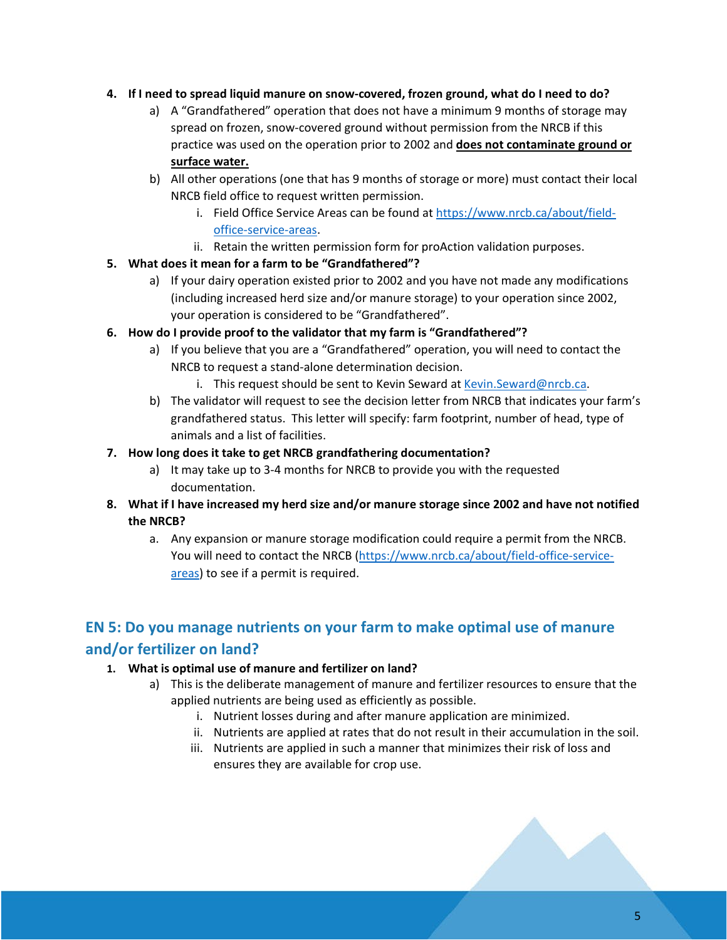#### **4. If I need to spread liquid manure on snow-covered, frozen ground, what do I need to do?**

- a) A "Grandfathered" operation that does not have a minimum 9 months of storage may spread on frozen, snow-covered ground without permission from the NRCB if this practice was used on the operation prior to 2002 and **does not contaminate ground or surface water.**
- b) All other operations (one that has 9 months of storage or more) must contact their local NRCB field office to request written permission.
	- i. Field Office Service Areas can be found at [https://www.nrcb.ca/about/field](https://www.nrcb.ca/about/field-office-service-areas)[office-service-areas.](https://www.nrcb.ca/about/field-office-service-areas)
	- ii. Retain the written permission form for proAction validation purposes.

#### **5. What does it mean for a farm to be "Grandfathered"?**

- a) If your dairy operation existed prior to 2002 and you have not made any modifications (including increased herd size and/or manure storage) to your operation since 2002, your operation is considered to be "Grandfathered".
- **6. How do I provide proof to the validator that my farm is "Grandfathered"?**
	- a) If you believe that you are a "Grandfathered" operation, you will need to contact the NRCB to request a stand-alone determination decision.
		- i. This request should be sent to Kevin Seward at [Kevin.Seward@nrcb.ca.](mailto:Kevin.Seward@nrcb.ca)
	- b) The validator will request to see the decision letter from NRCB that indicates your farm's grandfathered status. This letter will specify: farm footprint, number of head, type of animals and a list of facilities.
- **7. How long does it take to get NRCB grandfathering documentation?**
	- a) It may take up to 3-4 months for NRCB to provide you with the requested documentation.
- **8. What if I have increased my herd size and/or manure storage since 2002 and have not notified the NRCB?**
	- a. Any expansion or manure storage modification could require a permit from the NRCB. You will need to contact the NRCB [\(https://www.nrcb.ca/about/field-office-service](https://www.nrcb.ca/about/field-office-service-areas)[areas\)](https://www.nrcb.ca/about/field-office-service-areas) to see if a permit is required.

## **EN 5: Do you manage nutrients on your farm to make optimal use of manure and/or fertilizer on land?**

#### **1. What is optimal use of manure and fertilizer on land?**

- a) This is the deliberate management of manure and fertilizer resources to ensure that the applied nutrients are being used as efficiently as possible.
	- i. Nutrient losses during and after manure application are minimized.
	- ii. Nutrients are applied at rates that do not result in their accumulation in the soil.
	- iii. Nutrients are applied in such a manner that minimizes their risk of loss and ensures they are available for crop use.